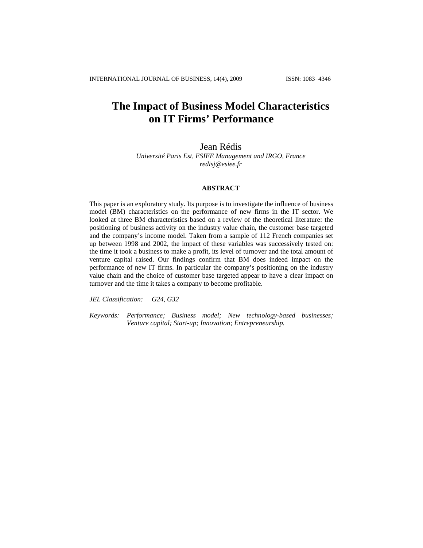# **The Impact of Business Model Characteristics on IT Firms' Performance**

Jean Rédis

*Université Paris Est, ESIEE Management and IRGO, France [redisj@esiee.fr](mailto:redisj@esiee.fr)*

#### **ABSTRACT**

This paper is an exploratory study. Its purpose is to investigate the influence of business model (BM) characteristics on the performance of new firms in the IT sector. We looked at three BM characteristics based on a review of the theoretical literature: the positioning of business activity on the industry value chain, the customer base targeted and the company's income model. Taken from a sample of 112 French companies set up between 1998 and 2002, the impact of these variables was successively tested on: the time it took a business to make a profit, its level of turnover and the total amount of venture capital raised. Our findings confirm that BM does indeed impact on the performance of new IT firms. In particular the company's positioning on the industry value chain and the choice of customer base targeted appear to have a clear impact on turnover and the time it takes a company to become profitable.

*JEL Classification: G24, G32*

*Keywords: Performance; Business model; New technology-based businesses; Venture capital; Start-up; Innovation; Entrepreneurship.*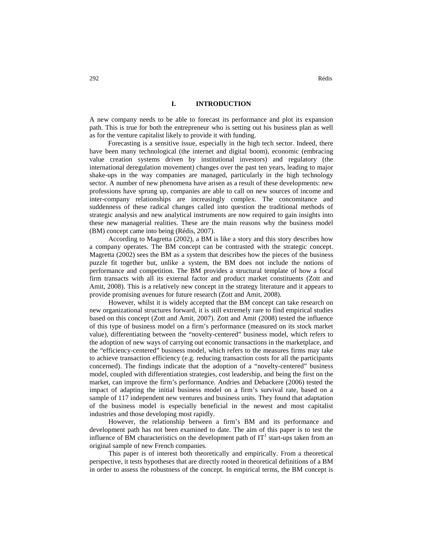## **I. INTRODUCTION**

A new company needs to be able to forecast its performance and plot its expansion path. This is true for both the entrepreneur who is setting out his business plan as well as for the venture capitalist likely to provide it with funding.

Forecasting is a sensitive issue, especially in the high tech sector. Indeed, there have been many technological (the internet and digital boom), economic (embracing value creation systems driven by institutional investors) and regulatory (the international deregulation movement) changes over the past ten years, leading to major shake-ups in the way companies are managed, particularly in the high technology sector. A number of new phenomena have arisen as a result of these developments: new professions have sprung up, companies are able to call on new sources of income and inter-company relationships are increasingly complex. The concomitance and suddenness of these radical changes called into question the traditional methods of strategic analysis and new analytical instruments are now required to gain insights into these new managerial realities. These are the main reasons why the business model (BM) concept came into being (Rédis, 2007).

According to Magretta (2002), a BM is like a story and this story describes how a company operates. The BM concept can be contrasted with the strategic concept. Magretta (2002) sees the BM as a system that describes how the pieces of the business puzzle fit together but, unlike a system, the BM does not include the notions of performance and competition. The BM provides a structural template of how a focal firm transacts with all its external factor and product market constituents (Zott and Amit, 2008). This is a relatively new concept in the strategy literature and it appears to provide promising avenues for future research (Zott and Amit, 2008).

However, whilst it is widely accepted that the BM concept can take research on new organizational structures forward, it is still extremely rare to find empirical studies based on this concept (Zott and Amit, 2007). Zott and Amit (2008) tested the influence of this type of business model on a firm's performance (measured on its stock market value), differentiating between the "novelty-centered" business model, which refers to the adoption of new ways of carrying out economic transactions in the marketplace, and the "efficiency-centered" business model, which refers to the measures firms may take to achieve transaction efficiency (e.g. reducing transaction costs for all the participants concerned). The findings indicate that the adoption of a "novelty-centered" business model, coupled with differentiation strategies, cost leadership, and being the first on the market, can improve the firm's performance. Andries and Debackere (2006) tested the impact of adapting the initial business model on a firm's survival rate, based on a sample of 117 independent new ventures and business units. They found that adaptation of the business model is especially beneficial in the newest and most capitalist industries and those developing most rapidly.

However, the relationship between a firm's BM and its performance and development path has not been examined to date. The aim of this paper is to test the influence of BM characteristics on the development path of  $IT<sup>1</sup>$  start-ups taken from an original sample of new French companies.

This paper is of interest both theoretically and empirically. From a theoretical perspective, it tests hypotheses that are directly rooted in theoretical definitions of a BM in order to assess the robustness of the concept. In empirical terms, the BM concept is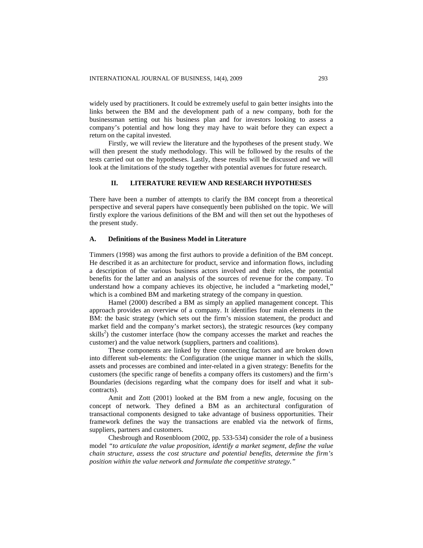widely used by practitioners. It could be extremely useful to gain better insights into the links between the BM and the development path of a new company, both for the businessman setting out his business plan and for investors looking to assess a company's potential and how long they may have to wait before they can expect a return on the capital invested.

Firstly, we will review the literature and the hypotheses of the present study. We will then present the study methodology. This will be followed by the results of the tests carried out on the hypotheses. Lastly, these results will be discussed and we will look at the limitations of the study together with potential avenues for future research.

# **II. LITERATURE REVIEW AND RESEARCH HYPOTHESES**

There have been a number of attempts to clarify the BM concept from a theoretical perspective and several papers have consequently been published on the topic. We will firstly explore the various definitions of the BM and will then set out the hypotheses of the present study.

#### **A. Definitions of the Business Model in Literature**

Timmers (1998) was among the first authors to provide a definition of the BM concept. He described it as an architecture for product, service and information flows, including a description of the various business actors involved and their roles, the potential benefits for the latter and an analysis of the sources of revenue for the company. To understand how a company achieves its objective, he included a "marketing model," which is a combined BM and marketing strategy of the company in question.

Hamel (2000) described a BM as simply an applied management concept. This approach provides an overview of a company. It identifies four main elements in the BM: the basic strategy (which sets out the firm's mission statement, the product and market field and the company's market sectors), the strategic resources (key company skills<sup>2</sup>) the customer interface (how the company accesses the market and reaches the customer) and the value network (suppliers, partners and coalitions).

These components are linked by three connecting factors and are broken down into different sub-elements: the Configuration (the unique manner in which the skills, assets and processes are combined and inter-related in a given strategy: Benefits for the customers (the specific range of benefits a company offers its customers) and the firm's Boundaries (decisions regarding what the company does for itself and what it subcontracts).

Amit and Zott (2001) looked at the BM from a new angle, focusing on the concept of network. They defined a BM as an architectural configuration of transactional components designed to take advantage of business opportunities. Their framework defines the way the transactions are enabled via the network of firms, suppliers, partners and customers.

Chesbrough and Rosenbloom (2002, pp. 533-534) consider the role of a business model *"to articulate the value proposition, identify a market segment, define the value chain structure, assess the cost structure and potential benefits, determine the firm's position within the value network and formulate the competitive strategy."*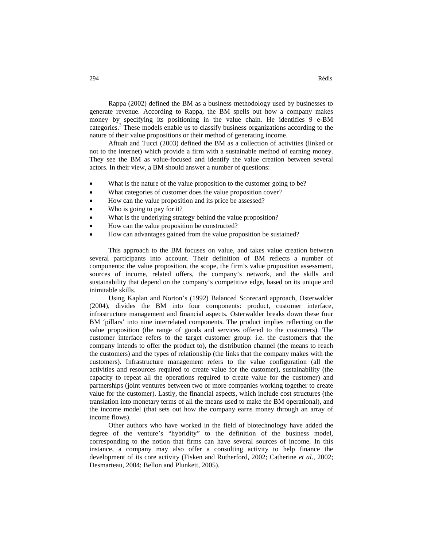Rappa (2002) defined the BM as a business methodology used by businesses to generate revenue. According to Rappa, the BM spells out how a company makes money by specifying its positioning in the value chain. He identifies 9 e-BM categories. <sup>3</sup> These models enable us to classify business organizations according to the nature of their value propositions or their method of generating income.

Aftuah and Tucci (2003) defined the BM as a collection of activities (linked or not to the internet) which provide a firm with a sustainable method of earning money. They see the BM as value-focused and identify the value creation between several actors. In their view, a BM should answer a number of questions:

- What is the nature of the value proposition to the customer going to be?
- What categories of customer does the value proposition cover?
- How can the value proposition and its price be assessed?
- Who is going to pay for it?
- What is the underlying strategy behind the value proposition?
- How can the value proposition be constructed?
- How can advantages gained from the value proposition be sustained?

This approach to the BM focuses on value, and takes value creation between several participants into account. Their definition of BM reflects a number of components: the value proposition, the scope, the firm's value proposition assessment, sources of income, related offers, the company's network, and the skills and sustainability that depend on the company's competitive edge, based on its unique and inimitable skills.

Using Kaplan and Norton's (1992) Balanced Scorecard approach, Osterwalder (2004), divides the BM into four components: product, customer interface, infrastructure management and financial aspects. Osterwalder breaks down these four BM 'pillars' into nine interrelated components. The product implies reflecting on the value proposition (the range of goods and services offered to the customers). The customer interface refers to the target customer group: i.e. the customers that the company intends to offer the product to), the distribution channel (the means to reach the customers) and the types of relationship (the links that the company makes with the customers). Infrastructure management refers to the value configuration (all the activities and resources required to create value for the customer), sustainability (the capacity to repeat all the operations required to create value for the customer) and partnerships (joint ventures between two or more companies working together to create value for the customer). Lastly, the financial aspects, which include cost structures (the translation into monetary terms of all the means used to make the BM operational), and the income model (that sets out how the company earns money through an array of income flows).

Other authors who have worked in the field of biotechnology have added the degree of the venture's "hybridity" to the definition of the business model, corresponding to the notion that firms can have several sources of income. In this instance, a company may also offer a consulting activity to help finance the development of its core activity (Fisken and Rutherford, 2002; Catherine *et al*., 2002; Desmarteau, 2004; Bellon and Plunkett, 2005).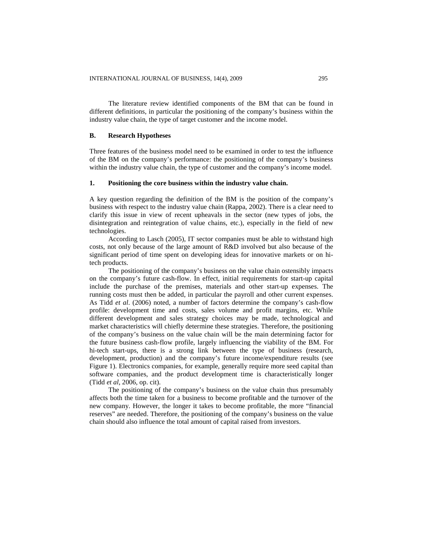The literature review identified components of the BM that can be found in different definitions, in particular the positioning of the company's business within the industry value chain, the type of target customer and the income model.

#### **B. Research Hypotheses**

Three features of the business model need to be examined in order to test the influence of the BM on the company's performance: the positioning of the company's business within the industry value chain, the type of customer and the company's income model.

## **1. Positioning the core business within the industry value chain.**

A key question regarding the definition of the BM is the position of the company's business with respect to the industry value chain (Rappa, 2002). There is a clear need to clarify this issue in view of recent upheavals in the sector (new types of jobs, the disintegration and reintegration of value chains, etc.), especially in the field of new technologies.

According to Lasch (2005), IT sector companies must be able to withstand high costs, not only because of the large amount of R&D involved but also because of the significant period of time spent on developing ideas for innovative markets or on hitech products.

The positioning of the company's business on the value chain ostensibly impacts on the company's future cash-flow. In effect, initial requirements for start-up capital include the purchase of the premises, materials and other start-up expenses. The running costs must then be added, in particular the payroll and other current expenses. As Tidd *et al*. (2006) noted, a number of factors determine the company's cash-flow profile: development time and costs, sales volume and profit margins, etc. While different development and sales strategy choices may be made, technological and market characteristics will chiefly determine these strategies. Therefore, the positioning of the company's business on the value chain will be the main determining factor for the future business cash-flow profile, largely influencing the viability of the BM. For hi-tech start-ups, there is a strong link between the type of business (research, development, production) and the company's future income/expenditure results (see Figure 1). Electronics companies, for example, generally require more seed capital than software companies, and the product development time is characteristically longer (Tidd *et al*, 2006, op. cit).

The positioning of the company's business on the value chain thus presumably affects both the time taken for a business to become profitable and the turnover of the new company. However, the longer it takes to become profitable, the more "financial reserves" are needed. Therefore, the positioning of the company's business on the value chain should also influence the total amount of capital raised from investors.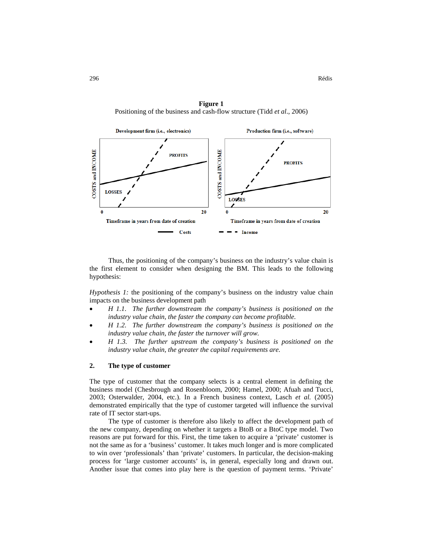296 Rédis

**Figure 1** Positioning of the business and cash-flow structure (Tidd *et al*., 2006)



Thus, the positioning of the company's business on the industry's value chain is the first element to consider when designing the BM. This leads to the following hypothesis:

*Hypothesis 1:* the positioning of the company's business on the industry value chain impacts on the business development path

- *H 1.1. The further downstream the company's business is positioned on the industry value chain, the faster the company can become profitable.*
- *H 1.2. The further downstream the company's business is positioned on the industry value chain, the faster the turnover will grow.*
- *H 1.3. The further upstream the company's business is positioned on the industry value chain, the greater the capital requirements are.*

# **2. The type of customer**

The type of customer that the company selects is a central element in defining the business model (Chesbrough and Rosenbloom, 2000; Hamel, 2000; Afuah and Tucci, 2003; Osterwalder, 2004, etc.). In a French business context, Lasch *et al.* (2005) demonstrated empirically that the type of customer targeted will influence the survival rate of IT sector start-ups.

The type of customer is therefore also likely to affect the development path of the new company, depending on whether it targets a BtoB or a BtoC type model. Two reasons are put forward for this. First, the time taken to acquire a 'private' customer is not the same as for a 'business' customer. It takes much longer and is more complicated to win over 'professionals' than 'private' customers. In particular, the decision-making process for 'large customer accounts' is, in general, especially long and drawn out. Another issue that comes into play here is the question of payment terms. 'Private'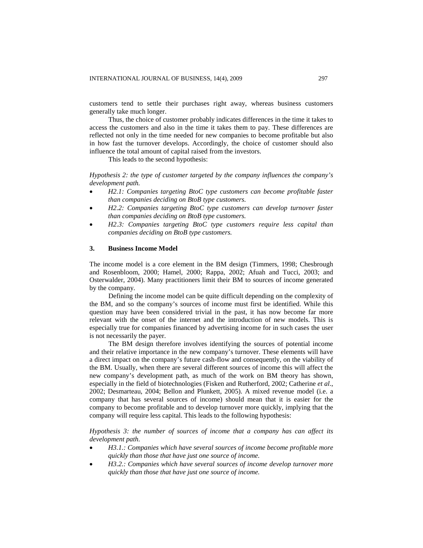customers tend to settle their purchases right away, whereas business customers generally take much longer.

Thus, the choice of customer probably indicates differences in the time it takes to access the customers and also in the time it takes them to pay. These differences are reflected not only in the time needed for new companies to become profitable but also in how fast the turnover develops. Accordingly, the choice of customer should also influence the total amount of capital raised from the investors.

This leads to the second hypothesis:

*Hypothesis 2: the type of customer targeted by the company influences the company's development path.*

- *H2.1: Companies targeting BtoC type customers can become profitable faster than companies deciding on BtoB type customers.*
- *H2.2: Companies targeting BtoC type customers can develop turnover faster than companies deciding on BtoB type customers.*
- *H2.3: Companies targeting BtoC type customers require less capital than companies deciding on BtoB type customers.*

#### **3. Business Income Model**

The income model is a core element in the BM design (Timmers, 1998; Chesbrough and Rosenbloom, 2000; Hamel, 2000; Rappa, 2002; Afuah and Tucci, 2003; and Osterwalder, 2004). Many practitioners limit their BM to sources of income generated by the company.

Defining the income model can be quite difficult depending on the complexity of the BM, and so the company's sources of income must first be identified. While this question may have been considered trivial in the past, it has now become far more relevant with the onset of the internet and the introduction of new models. This is especially true for companies financed by advertising income for in such cases the user is not necessarily the payer.

The BM design therefore involves identifying the sources of potential income and their relative importance in the new company's turnover. These elements will have a direct impact on the company's future cash-flow and consequently, on the viability of the BM. Usually, when there are several different sources of income this will affect the new company's development path, as much of the work on BM theory has shown, especially in the field of biotechnologies (Fisken and Rutherford, 2002; Catherine *et al*., 2002; Desmarteau, 2004; Bellon and Plunkett, 2005). A mixed revenue model (i.e. a company that has several sources of income) should mean that it is easier for the company to become profitable and to develop turnover more quickly, implying that the company will require less capital. This leads to the following hypothesis:

*Hypothesis 3: the number of sources of income that a company has can affect its development path.*

- *H3.1.: Companies which have several sources of income become profitable more quickly than those that have just one source of income.*
- *H3.2.: Companies which have several sources of income develop turnover more quickly than those that have just one source of income.*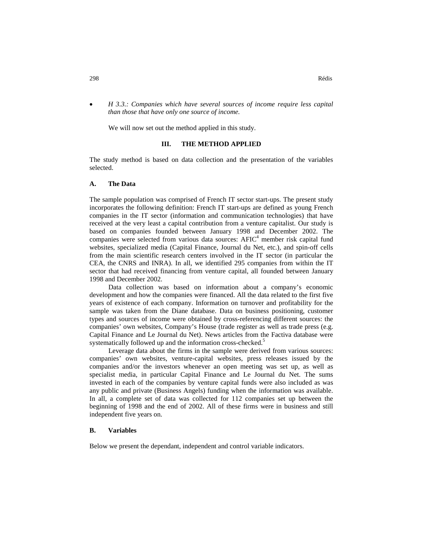*H 3.3.: Companies which have several sources of income require less capital than those that have only one source of income.*

We will now set out the method applied in this study.

#### **III. THE METHOD APPLIED**

The study method is based on data collection and the presentation of the variables selected.

#### **A. The Data**

The sample population was comprised of French IT sector start-ups. The present study incorporates the following definition: French IT start-ups are defined as young French companies in the IT sector (information and communication technologies) that have received at the very least a capital contribution from a venture capitalist. Our study is based on companies founded between January 1998 and December 2002. The companies were selected from various data sources:  $A FIC<sup>4</sup>$  member risk capital fund websites, specialized media (Capital Finance, Journal du Net, etc.), and spin-off cells from the main scientific research centers involved in the IT sector (in particular the CEA, the CNRS and INRA). In all, we identified 295 companies from within the IT sector that had received financing from venture capital, all founded between January 1998 and December 2002.

Data collection was based on information about a company's economic development and how the companies were financed. All the data related to the first five years of existence of each company. Information on turnover and profitability for the sample was taken from the Diane database. Data on business positioning, customer types and sources of income were obtained by cross-referencing different sources: the companies' own websites, Company's House (trade register as well as trade press (e.g. Capital Finance and Le Journal du Net). News articles from the Factiva database were systematically followed up and the information cross-checked.<sup>5</sup>

Leverage data about the firms in the sample were derived from various sources: companies' own websites, venture-capital websites, press releases issued by the companies and/or the investors whenever an open meeting was set up, as well as specialist media, in particular Capital Finance and Le Journal du Net. The sums invested in each of the companies by venture capital funds were also included as was any public and private (Business Angels) funding when the information was available. In all, a complete set of data was collected for 112 companies set up between the beginning of 1998 and the end of 2002. All of these firms were in business and still independent five years on.

#### **B. Variables**

Below we present the dependant, independent and control variable indicators.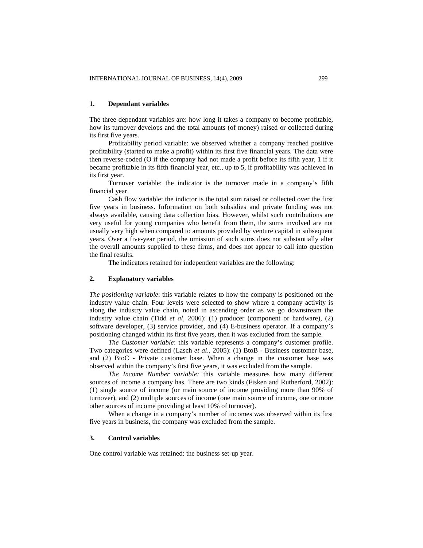#### **1. Dependant variables**

The three dependant variables are: how long it takes a company to become profitable, how its turnover develops and the total amounts (of money) raised or collected during its first five years.

Profitability period variable: we observed whether a company reached positive profitability (started to make a profit) within its first five financial years. The data were then reverse-coded (O if the company had not made a profit before its fifth year, 1 if it became profitable in its fifth financial year, etc., up to 5, if profitability was achieved in its first year.

Turnover variable: the indicator is the turnover made in a company's fifth financial year.

Cash flow variable: the indictor is the total sum raised or collected over the first five years in business. Information on both subsidies and private funding was not always available, causing data collection bias. However, whilst such contributions are very useful for young companies who benefit from them, the sums involved are not usually very high when compared to amounts provided by venture capital in subsequent years. Over a five-year period, the omission of such sums does not substantially alter the overall amounts supplied to these firms, and does not appear to call into question the final results.

The indicators retained for independent variables are the following:

# **2. Explanatory variables**

*The positioning variable*: this variable relates to how the company is positioned on the industry value chain. Four levels were selected to show where a company activity is along the industry value chain, noted in ascending order as we go downstream the industry value chain (Tidd *et al*, 2006): (1) producer (component or hardware), (2) software developer, (3) service provider, and (4) E-business operator. If a company's positioning changed within its first five years, then it was excluded from the sample.

*The Customer variable*: this variable represents a company's customer profile. Two categories were defined (Lasch *et al*., 2005): (1) BtoB - Business customer base, and (2) BtoC - Private customer base. When a change in the customer base was observed within the company's first five years, it was excluded from the sample.

*The Income Number variable:* this variable measures how many different sources of income a company has. There are two kinds (Fisken and Rutherford, 2002): (1) single source of income (or main source of income providing more than 90% of turnover), and (2) multiple sources of income (one main source of income, one or more other sources of income providing at least 10% of turnover).

When a change in a company's number of incomes was observed within its first five years in business, the company was excluded from the sample.

# **3. Control variables**

One control variable was retained: the business set-up year.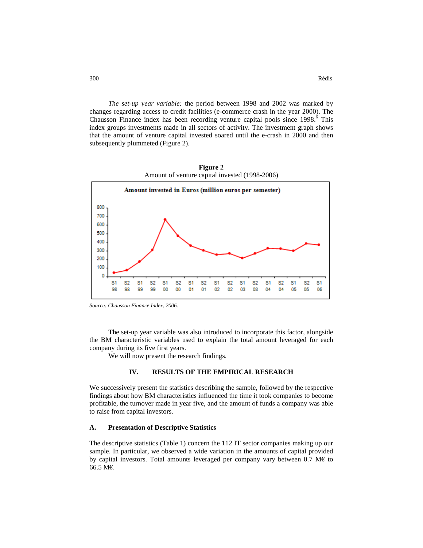*The set-up year variable:* the period between 1998 and 2002 was marked by changes regarding access to credit facilities (e-commerce crash in the year 2000). The Chausson Finance index has been recording venture capital pools since 1998.<sup>6</sup> This index groups investments made in all sectors of activity. The investment graph shows that the amount of venture capital invested soared until the e-crash in 2000 and then subsequently plummeted (Figure 2).



**Figure 2** Amount of venture capital invested (1998-2006)

*Source: Chausson Finance Index, 2006.*

The set-up year variable was also introduced to incorporate this factor, alongside the BM characteristic variables used to explain the total amount leveraged for each company during its five first years.

We will now present the research findings.

# **IV. RESULTS OF THE EMPIRICAL RESEARCH**

We successively present the statistics describing the sample, followed by the respective findings about how BM characteristics influenced the time it took companies to become profitable, the turnover made in year five, and the amount of funds a company was able to raise from capital investors.

#### **A. Presentation of Descriptive Statistics**

The descriptive statistics (Table 1) concern the 112 IT sector companies making up our sample. In particular, we observed a wide variation in the amounts of capital provided by capital investors. Total amounts leveraged per company vary between 0.7 M $\epsilon$  to 66.5 M€.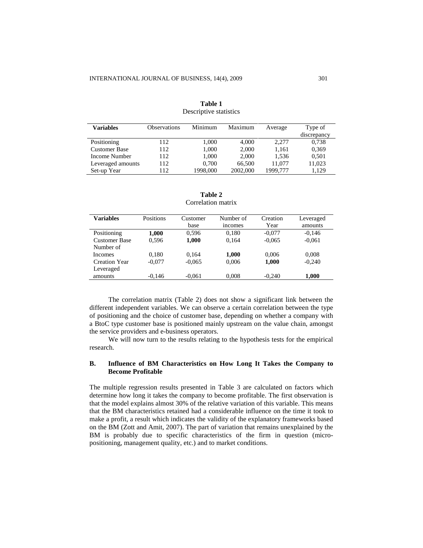| <b>Variables</b>     | <b>Observations</b> | Minimum  | Maximum  | Average  | Type of<br>discrepancy |
|----------------------|---------------------|----------|----------|----------|------------------------|
| Positioning          | 112                 | 1.000    | 4.000    | 2,277    | 0,738                  |
| <b>Customer Base</b> | 112                 | 1,000    | 2,000    | 1,161    | 0,369                  |
| Income Number        | 112                 | 1.000    | 2,000    | 1.536    | 0,501                  |
| Leveraged amounts    | 112                 | 0.700    | 66,500   | 11.077   | 11,023                 |
| Set-up Year          | 112                 | 1998.000 | 2002,000 | 1999,777 | 1.129                  |

**Table 1** Descriptive statistics

| Table 2            |  |
|--------------------|--|
| Correlation matrix |  |

| <b>Variables</b>                  | Positions | Customer<br>base | Number of<br>incomes | Creation<br>Year | Leveraged<br>amounts |
|-----------------------------------|-----------|------------------|----------------------|------------------|----------------------|
| Positioning                       | 1,000     | 0.596            | 0.180                | $-0.077$         | $-0.146$             |
| <b>Customer Base</b><br>Number of | 0.596     | 1,000            | 0.164                | $-0.065$         | $-0.061$             |
| <b>Incomes</b>                    | 0.180     | 0.164            | 1,000                | 0.006            | 0,008                |
| Creation Year<br>Leveraged        | $-0.077$  | $-0.065$         | 0,006                | 1,000            | $-0,240$             |
| amounts                           | $-0.146$  | $-0.061$         | 0,008                | $-0.240$         | 1,000                |

The correlation matrix (Table 2) does not show a significant link between the different independent variables. We can observe a certain correlation between the type of positioning and the choice of customer base, depending on whether a company with a BtoC type customer base is positioned mainly upstream on the value chain, amongst the service providers and e-business operators.

We will now turn to the results relating to the hypothesis tests for the empirical research.

# **B. Influence of BM Characteristics on How Long It Takes the Company to Become Profitable**

The multiple regression results presented in Table 3 are calculated on factors which determine how long it takes the company to become profitable. The first observation is that the model explains almost 30% of the relative variation of this variable. This means that the BM characteristics retained had a considerable influence on the time it took to make a profit, a result which indicates the validity of the explanatory frameworks based on the BM (Zott and Amit, 2007). The part of variation that remains unexplained by the BM is probably due to specific characteristics of the firm in question (micropositioning, management quality, etc.) and to market conditions.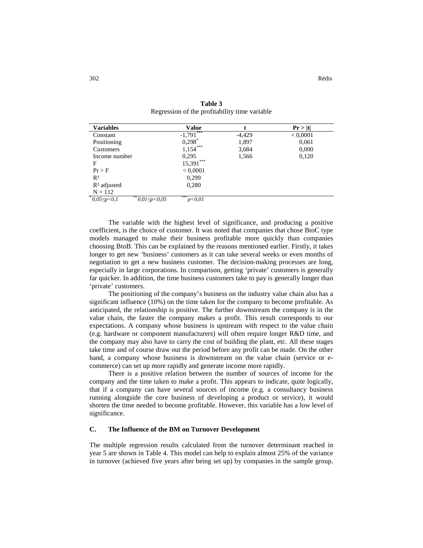| <b>Variables</b>  | Value                                                  |          | Pr >  t  |
|-------------------|--------------------------------------------------------|----------|----------|
| Constant          | ***<br>$-1,791$                                        | $-4,429$ | < 0,0001 |
| Positioning       | $0,298$ *                                              | 1,897    | 0,061    |
| Customers         | $1,154***$                                             | 3,684    | 0,000    |
| Income number     | 0,295                                                  | 1,566    | 0,120    |
| F                 | $15,391***$                                            |          |          |
| Pr > F            | < 0,0001                                               |          |          |
| R <sup>2</sup>    | 0.299                                                  |          |          |
| $R2$ adjusted     | 0,280                                                  |          |          |
| $N = 112$         |                                                        |          |          |
| $*0,05\leq p<0,1$ | ***<br>** $\frac{0.01}{9}$ < 0.05<br>p <sub>0.01</sub> |          |          |

**Table 3** Regression of the profitability time variable

The variable with the highest level of significance, and producing a positive coefficient, is the choice of customer. It was noted that companies that chose BtoC type models managed to make their business profitable more quickly than companies choosing BtoB. This can be explained by the reasons mentioned earlier. Firstly, it takes longer to get new 'business' customers as it can take several weeks or even months of negotiation to get a new business customer. The decision-making processes are long, especially in large corporations. In comparison, getting 'private' customers is generally far quicker. In addition, the time business customers take to pay is generally longer than 'private' customers.

The positioning of the company's business on the industry value chain also has a significant influence (10%) on the time taken for the company to become profitable. As anticipated, the relationship is positive. The further downstream the company is in the value chain, the faster the company makes a profit. This result corresponds to our expectations. A company whose business is upstream with respect to the value chain (e.g. hardware or component manufacturers) will often require longer R&D time, and the company may also have to carry the cost of building the plant, etc. All these stages take time and of course draw out the period before any profit can be made. On the other hand, a company whose business is downstream on the value chain (service or ecommerce) can set up more rapidly and generate income more rapidly.

There is a positive relation between the number of sources of income for the company and the time taken to make a profit. This appears to indicate, quite logically, that if a company can have several sources of income (e.g. a consultancy business running alongside the core business of developing a product or service), it would shorten the time needed to become profitable. However, this variable has a low level of significance.

# **C. The Influence of the BM on Turnover Development**

The multiple regression results calculated from the turnover determinant reached in year 5 are shown in Table 4. This model can help to explain almost 25% of the variance in turnover (achieved five years after being set up) by companies in the sample group.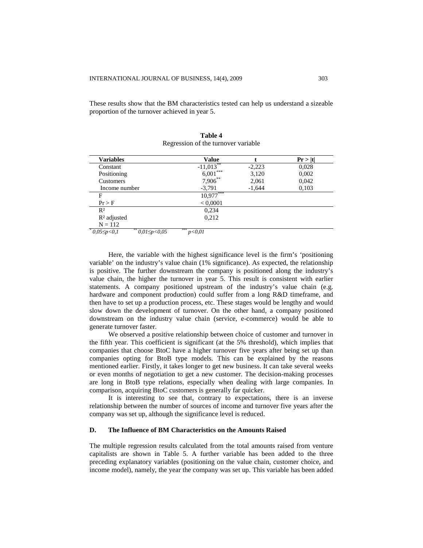These results show that the BM characteristics tested can help us understand a sizeable proportion of the turnover achieved in year 5.

| Variables                                      | <b>Value</b>  |          | Pr >  t |
|------------------------------------------------|---------------|----------|---------|
| Constant                                       | $-11,013$     | $-2,223$ | 0,028   |
| Positioning                                    | $6,001***$    | 3,120    | 0,002   |
| Customers                                      | $7,906***$    | 2,061    | 0,042   |
| Income number                                  | $-3,791$      | $-1,644$ | 0,103   |
| F                                              | $10,977***$   |          |         |
| Pr > F                                         | < 0,0001      |          |         |
| $R^2$                                          | 0,234         |          |         |
| $R2$ adjusted                                  | 0,212         |          |         |
| $N = 112$                                      |               |          |         |
| $*0.05 \leq p < 0.1$<br>** $0.01 \le p < 0.05$ | ***<br>p<0.01 |          |         |

| Table 4                             |
|-------------------------------------|
| Regression of the turnover variable |

Here, the variable with the highest significance level is the firm's 'positioning variable' on the industry's value chain (1% significance). As expected, the relationship is positive. The further downstream the company is positioned along the industry's value chain, the higher the turnover in year 5. This result is consistent with earlier statements. A company positioned upstream of the industry's value chain (e.g. hardware and component production) could suffer from a long R&D timeframe, and then have to set up a production process, etc. These stages would be lengthy and would slow down the development of turnover. On the other hand, a company positioned downstream on the industry value chain (service, e-commerce) would be able to generate turnover faster.

We observed a positive relationship between choice of customer and turnover in the fifth year. This coefficient is significant (at the 5% threshold), which implies that companies that choose BtoC have a higher turnover five years after being set up than companies opting for BtoB type models. This can be explained by the reasons mentioned earlier. Firstly, it takes longer to get new business. It can take several weeks or even months of negotiation to get a new customer. The decision-making processes are long in BtoB type relations, especially when dealing with large companies. In comparison, acquiring BtoC customers is generally far quicker.

It is interesting to see that, contrary to expectations, there is an inverse relationship between the number of sources of income and turnover five years after the company was set up, although the significance level is reduced.

# **D. The Influence of BM Characteristics on the Amounts Raised**

The multiple regression results calculated from the total amounts raised from venture capitalists are shown in Table 5. A further variable has been added to the three preceding explanatory variables (positioning on the value chain, customer choice, and income model), namely, the year the company was set up. This variable has been added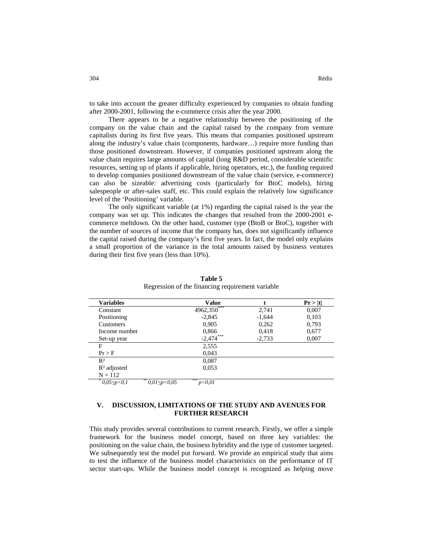to take into account the greater difficulty experienced by companies to obtain funding after 2000-2001, following the e-commerce crisis after the year 2000.

There appears to be a negative relationship between the positioning of the company on the value chain and the capital raised by the company from venture capitalists during its first five years. This means that companies positioned upstream along the industry's value chain (components, hardware…) require more funding than those positioned downstream. However, if companies positioned upstream along the value chain requires large amounts of capital (long R&D period, considerable scientific resources, setting up of plants if applicable, hiring operators, etc.), the funding required to develop companies positioned downstream of the value chain (service, e-commerce) can also be sizeable: advertising costs (particularly for BtoC models), hiring salespeople or after-sales staff, etc. This could explain the relatively low significance level of the 'Positioning' variable.

The only significant variable (at 1%) regarding the capital raised is the year the company was set up. This indicates the changes that resulted from the 2000-2001 ecommerce meltdown. On the other hand, customer type (BtoB or BtoC), together with the number of sources of income that the company has, does not significantly influence the capital raised during the company's first five years. In fact, the model only explains a small proportion of the variance in the total amounts raised by business ventures during their first five years (less than 10%).

| <b>Variables</b>         |                          | Value         |          | Pr >  t |
|--------------------------|--------------------------|---------------|----------|---------|
| Constant                 |                          | $4962,350***$ | 2,741    | 0,007   |
| Positioning              |                          | $-2,845$      | $-1,644$ | 0,103   |
| Customers                |                          | 0,905         | 0,262    | 0,793   |
| Income number            |                          | 0,866         | 0,418    | 0,677   |
| Set-up year              |                          | $-2,474$ ***  | $-2,733$ | 0,007   |
| F                        |                          | 2,555         |          |         |
| Pr > F                   |                          | 0,043         |          |         |
| R <sup>2</sup>           |                          | 0,087         |          |         |
| $R2$ adjusted            |                          | 0,053         |          |         |
| $N = 112$                |                          |               |          |         |
| $^*$ 0,05 $\leq p < 0,1$ | ** $\frac{0.01}{5}$ 0.05 | ***<br>p<0.01 |          |         |

**Table 5** Regression of the financing requirement variable

# **V. DISCUSSION, LIMITATIONS OF THE STUDY AND AVENUES FOR FURTHER RESEARCH**

This study provides several contributions to current research. Firstly, we offer a simple framework for the business model concept, based on three key variables: the positioning on the value chain, the business hybridity and the type of customer targeted. We subsequently test the model put forward. We provide an empirical study that aims to test the influence of the business model characteristics on the performance of IT sector start-ups. While the business model concept is recognized as helping move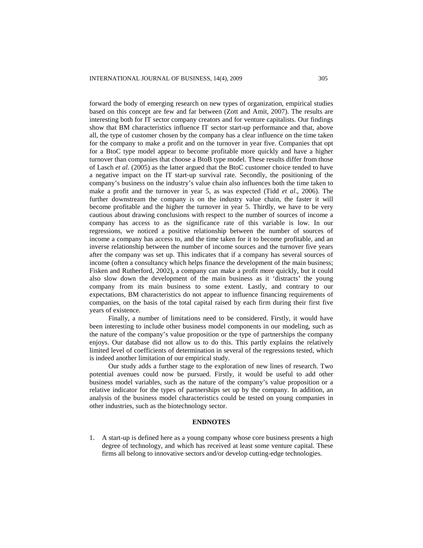forward the body of emerging research on new types of organization, empirical studies based on this concept are few and far between (Zott and Amit, 2007). The results are interesting both for IT sector company creators and for venture capitalists. Our findings show that BM characteristics influence IT sector start-up performance and that, above all, the type of customer chosen by the company has a clear influence on the time taken for the company to make a profit and on the turnover in year five. Companies that opt for a BtoC type model appear to become profitable more quickly and have a higher turnover than companies that choose a BtoB type model. These results differ from those of Lasch *et al*. (2005) as the latter argued that the BtoC customer choice tended to have a negative impact on the IT start-up survival rate. Secondly, the positioning of the company's business on the industry's value chain also influences both the time taken to make a profit and the turnover in year 5, as was expected (Tidd *et al*., 2006). The further downstream the company is on the industry value chain, the faster it will become profitable and the higher the turnover in year 5. Thirdly, we have to be very cautious about drawing conclusions with respect to the number of sources of income a company has access to as the significance rate of this variable is low. In our regressions, we noticed a positive relationship between the number of sources of income a company has access to, and the time taken for it to become profitable, and an inverse relationship between the number of income sources and the turnover five years after the company was set up. This indicates that if a company has several sources of income (often a consultancy which helps finance the development of the main business; Fisken and Rutherford, 2002), a company can make a profit more quickly, but it could also slow down the development of the main business as it 'distracts' the young company from its main business to some extent. Lastly, and contrary to our expectations, BM characteristics do not appear to influence financing requirements of companies, on the basis of the total capital raised by each firm during their first five years of existence.

Finally, a number of limitations need to be considered. Firstly, it would have been interesting to include other business model components in our modeling, such as the nature of the company's value proposition or the type of partnerships the company enjoys. Our database did not allow us to do this. This partly explains the relatively limited level of coefficients of determination in several of the regressions tested, which is indeed another limitation of our empirical study.

Our study adds a further stage to the exploration of new lines of research. Two potential avenues could now be pursued. Firstly, it would be useful to add other business model variables, such as the nature of the company's value proposition or a relative indicator for the types of partnerships set up by the company. In addition, an analysis of the business model characteristics could be tested on young companies in other industries, such as the biotechnology sector.

#### **ENDNOTES**

1. A start-up is defined here as a young company whose core business presents a high degree of technology, and which has received at least some venture capital. These firms all belong to innovative sectors and/or develop cutting-edge technologies.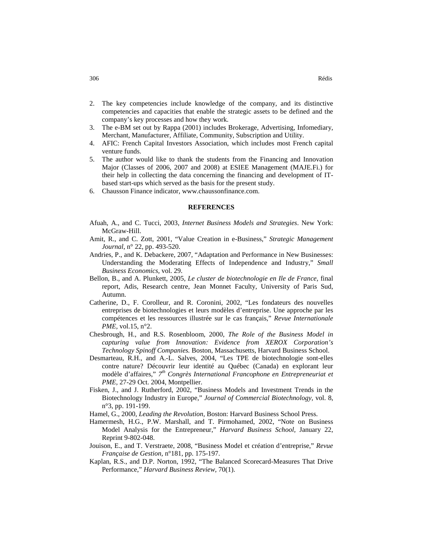- 2. The key competencies include knowledge of the company, and its distinctive competencies and capacities that enable the strategic assets to be defined and the company's key processes and how they work.
- The e-BM set out by Rappa (2001) includes Brokerage, Advertising, Infomediary, Merchant, Manufacturer, Affiliate, Community, Subscription and Utility.
- 4. AFIC: French Capital Investors Association, which includes most French capital venture funds.
- 5. The author would like to thank the students from the Financing and Innovation Major (Classes of 2006, 2007 and 2008) at ESIEE Management (MAJE.Fi.) for their help in collecting the data concerning the financing and development of ITbased start-ups which served as the basis for the present study.
- 6. Chausson Finance indicator, www.chaussonfinance.com.

#### **REFERENCES**

- Afuah, A., and C. Tucci, 2003, *Internet Business Models and Strategies*. New York: McGraw-Hill.
- Amit, R., and C. Zott, 2001, "Value Creation in e-Business," *Strategic Management Journal*, n° 22, pp. 493-520.
- Andries, P., and K. Debackere, 2007, "Adaptation and Performance in New Businesses: Understanding the Moderating Effects of Independence and Industry," *Small Business Economics,* vol. 29.
- Bellon, B., and A. Plunkett, 2005, *Le cluster de biotechnologie en Ile de France*, final report, Adis, Research centre, Jean Monnet Faculty, University of Paris Sud, Autumn.
- Catherine, D., F. Corolleur, and R. Coronini, 2002, "Les fondateurs des nouvelles entreprises de biotechnologies et leurs modèles d'entreprise. Une approche par les compétences et les ressources illustrée sur le cas français," *Revue Internationale PME,* vol.15, n°2.
- Chesbrough, H., and R.S. Rosenbloom, 2000, *The Role of the Business Model in capturing value from Innovation: Evidence from XEROX Corporation's Technology Spinoff Companies.* Boston, Massachusetts, Harvard Business School.
- Desmarteau, R.H., and A.-L. Salves, 2004, "Les TPE de biotechnologie sont-elles contre nature? Découvrir leur identité au Québec (Canada) en explorant leur modèle d'affaires," *7 th Congrès International Francophone en Entrepreneuriat et PME,* 27-29 Oct. 2004, Montpellier.
- Fisken, J., and J. Rutherford, 2002, "Business Models and Investment Trends in the Biotechnology Industry in Europe," *Journal of Commercial Biotechnology,* vol. 8, n°3, pp. 191-199.
- Hamel, G., 2000, *Leading the Revolution,* Boston: Harvard Business School Press.
- Hamermesh, H.G., P.W. Marshall, and T. Pirmohamed, 2002, "Note on Business Model Analysis for the Entrepreneur," *Harvard Business School,* January 22, Reprint 9-802-048.
- Jouison, E., and T. Verstraete, 2008, "Business Model et création d'entreprise," *Revue Française de Gestion,* n°181, pp. 175-197.
- Kaplan, R.S., and D.P. Norton, 1992, "The Balanced Scorecard-Measures That Drive Performance," *Harvard Business Review,* 70(1).